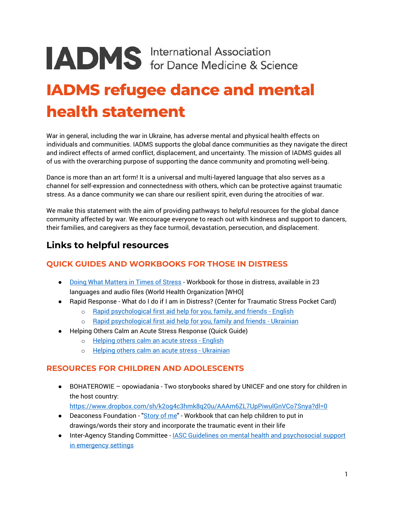# **IADMS** International Association

# **IADMS refugee dance and mental health statement**

War in general, including the war in Ukraine, has adverse mental and physical health effects on individuals and communities. IADMS supports the global dance communities as they navigate the direct and indirect effects of armed conflict, displacement, and uncertainty. The mission of IADMS guides all of us with the overarching purpose of supporting the dance community and promoting well-being.

Dance is more than an art form! It is a universal and multi-layered language that also serves as a channel for self-expression and connectedness with others, which can be protective against traumatic stress. As a dance community we can share our resilient spirit, even during the atrocities of war.

We make this statement with the aim of providing pathways to helpful resources for the global dance community affected by war. We encourage everyone to reach out with kindness and support to dancers, their families, and caregivers as they face turmoil, devastation, persecution, and displacement.

# **Links to helpful resources**

# **QUICK GUIDES AND WORKBOOKS FOR THOSE IN DISTRESS**

- [Doing What Matters in Times of Stress](https://www.who.int/publications/i/item/9789240003927) Workbook for those in distress, available in 23 languages and audio files (World Health Organization [WHO]
- Rapid Response What do I do if I am in Distress? (Center for Traumatic Stress Pocket Card)
	- o [Rapid psychological first aid help for you, family, and friends -](https://www.cstsonline.org/assets/media/documents/CSTS_RPFA_Card_Help_You_Family_Friends.pdf) English
	- o [Rapid psychological first aid help for you, family and friends -](https://www.cstsonline.org/assets/media/documents/CSTS_RPFA_Card_Help_You_Family_Friends_Card_UKR_v1.pdf) Ukrainian
- Helping Others Calm an Acute Stress Response (Quick Guide)
	- o [Helping others calm an acute stress -](https://www.cstsonline.org/assets/media/documents/CSTS_Helping_Calm_ASR_Card.pdf) English
	- o [Helping others calm an acute stress -](https://www.cstsonline.org/assets/media/documents/CSTS_Helping_Calm_ASR_Card_Cut_UKR_v1.pdf) Ukrainian

## **RESOURCES FOR CHILDREN AND ADOLESCENTS**

● BOHATEROWIE – opowiadania - Two storybooks shared by UNICEF and one story for children in the host country:

<https://www.dropbox.com/sh/k2og4c3hmk8q20u/AAAm6ZL7UpPiwulGnVCo7Snya?dl=0>

- Deaconess Foundation ["Story of me"](https://s3-eu-central-1.amazonaws.com/evermade-hdl/wp-content/uploads/2019/11/22144247/Deaconess-Foundation-Story-of-me.pdf) Workbook that can help children to put in drawings/words their story and incorporate the traumatic event in their life
- Inter-Agency Standing Committee [IASC Guidelines on mental health and psychosocial support](http://icmc.net/wp-content/uploads/2019/07/071201-iasc-guidelines-mental-health-support-emergency-settings.pdf) [in emergency settings](http://icmc.net/wp-content/uploads/2019/07/071201-iasc-guidelines-mental-health-support-emergency-settings.pdf)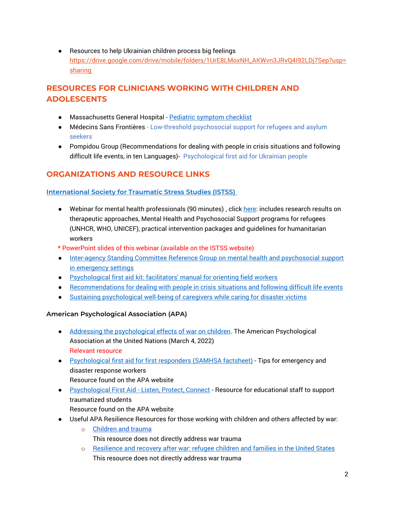● Resources to help Ukrainian children process big feelings [https://drive.google.com/drive/mobile/folders/1UrE8LMoxNH\\_AKWvn3JRvQ4I92LDj7Sep?usp=](https://drive.google.com/drive/mobile/folders/1UrE8LMoxNH_AKWvn3JRvQ4I92LDj7Sep?usp=sharing%C2%A0) **[sharing](https://drive.google.com/drive/mobile/folders/1UrE8LMoxNH_AKWvn3JRvQ4I92LDj7Sep?usp=sharing%C2%A0)** 

# **RESOURCES FOR CLINICIANS WORKING WITH CHILDREN AND ADOLESCENTS**

- Massachusetts General Hospital [Pediatric symptom checklist](https://www.massgeneral.org/psychiatry/treatments-and-services/pediatric-symptom-checklist/)
- Médecins Sans Frontières [Low-threshold psychosocial support for refugees and asylum](https://www.gewaltschutz-gu.de/fileadmin/user_upload/PDFs/final-version-project-guide-msf-germany.pdf)  [seekers](https://www.gewaltschutz-gu.de/fileadmin/user_upload/PDFs/final-version-project-guide-msf-germany.pdf)
- Pompidou Group (Recommendations for dealing with people in crisis situations and following difficult life events, in ten Languages)- [Psychological first aid for Ukrainian people](https://www.coe.int/en/web/pompidou/-/psychological-first-aid-for-ukrainian-people)

# **ORGANIZATIONS AND RESOURCE LINKS**

#### **International [Society for Traumatic Stress Studies \(ISTSS\)](https://istss.org/public-resources/war-and-disaster-resources)**

- Webinar for mental health professionals (90 minutes) , clic[k here:](https://www.youtube.com/watch?v=bengNIBSxoc) includes research results on therapeutic approaches, Mental Health and Psychosocial Support programs for refugees (UNHCR, WHO, UNICEF), practical intervention packages and guidelines for humanitarian workers
- \* PowerPoint slides of this webinar (available on the ISTSS website)
- [Inter-agency Standing Committee Reference Group on mental health and psychosocial support](https://interagencystandingcommittee.org/iasc-reference-group-on-mental-health-and-psychosocial-support-in-emergency-settings)  [in emergency settings](https://interagencystandingcommittee.org/iasc-reference-group-on-mental-health-and-psychosocial-support-in-emergency-settings)
- [Psychological first aid kit: facilitators' manual for orienting field workers](https://apps.who.int/iris/bitstream/handle/10665/102380/9789241548618_eng.pdf?sequence=1&isAllowed=y)
- [Recommendations for dealing with people in crisis](https://secureservercdn.net/160.153.137.163/7hd.35f.myftpupload.com/wp-content/uploads/2022/03/For-Helpers_en_web.pdf?time=1646850547) situations and following difficult life events
- [Sustaining psychological well-being of caregivers while caring for disaster victims](https://www.cstsonline.org/assets/media/documents/CSTS_FS_Sustaining_Psychological_Wellbeing_of_Caregivers_While%20Caring%20%20for%20Disaster%20Victims.pdf)

#### **American Psychological Association (APA)**

- [Addressing the psychological effects of war on children.](https://www.apa.org/international/united-nations/war-on-children.pdf) The American Psychological Association at the United Nations (March 4, 2022) Relevant resource
- [Psychological first aid for first responders \(SAMHSA factsheet\)](https://store.samhsa.gov/sites/default/files/d7/priv/nmh05-0210.pdf) Tips for emergency and disaster response workers Resource found on the APA website
- [Psychological First Aid -](https://traumaawareschools.org/pfa) Listen, Protect, Connect Resource for educational staff to support traumatized students
	- Resource found on the APA website
- Useful APA Resilience Resources for those working with children and others affected by war:
	- o [Children and trauma](https://www.apa.org/pi/families/resources/task-force/child-trauma) This resource does not directly address war trauma
	- o [Resilience and recovery after war: refugee children and families in the United States](https://www.apa.org/pubs/reports/refugees-full-report.pdf) This resource does not directly address war trauma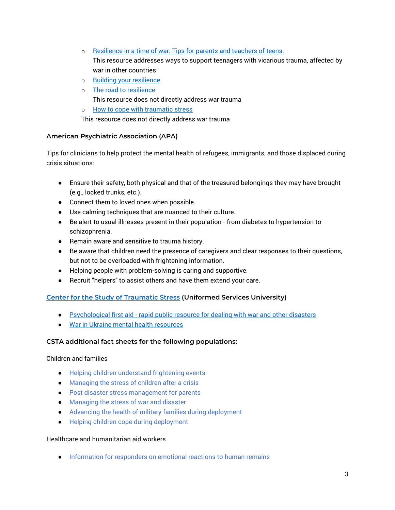- o [Resilience in a time of war: Tips for parents and teachers of teens.](https://www.apa.org/topics/resilience/teen-war) This resource addresses ways to support teenagers with vicarious trauma, affected by war in other countries
- o [Building your resilience](https://www.apa.org/topics/resilience)
- o [The road to resilience](https://www.apa.org/helpcenter/road-resilience) This resource does not directly address war trauma
- o [How to cope with traumatic stress](https://www.apa.org/topics/trauma/stress)

This resource does not directly address war trauma

#### **American Psychiatric Association (APA)**

Tips for clinicians to help protect the mental health of refugees, immigrants, and those displaced during crisis situations:

- Ensure their safety, both physical and that of the treasured belongings they may have brought (e.g., locked trunks, etc.).
- Connect them to loved ones when possible.
- Use calming techniques that are nuanced to their culture.
- Be alert to usual illnesses present in their population from diabetes to hypertension to schizophrenia.
- Remain aware and sensitive to trauma history.
- Be aware that children need the presence of caregivers and clear responses to their questions, but not to be overloaded with frightening information.
- Helping people with problem-solving is caring and supportive.
- Recruit "helpers" to assist others and have them extend your care.

#### **[Center for the Study of Traumatic Stress](https://www.cstsonline.org/) (Uniformed Services University)**

- Psychological first aid [rapid public resource for dealing with war and other disasters](https://www.cstsonline.org/education-and-training/health-campaigns/rapid-psychological-first-aid-helping)
- [War in Ukraine mental health resources](https://www.cstsonline.org/resources/resource-master-list/war-in-ukraine-mental-health-resources)

#### **CSTA additional fact sheets for the following populations:**

#### Children and families

- [Helping children understand frightening events](https://www.cstsonline.org/assets/media/documents/CSTS_FS_Helping_Children_Understand_Frightening_Events.pdf)
- [Managing the stress of children after a crisis](https://www.cstsonline.org/assets/media/documents/CSTS_FS_Managing_Stress_of_Children_After_Crisis.pdf)
- [Post disaster stress management for parents](https://www.cstsonline.org/assets/media/documents/CSTS_FS_Post_Disaster_Stress_Management_Parents.pdf)
- [Managing the stress of war and disaster](https://www.cstsonline.org/assets/media/documents/CSTS_FS_Managing_the_Stress_of%20War_and_Disaster.pdf)
- [Advancing the health of military families during deployment](https://www.cstsonline.org/assets/media/documents/CSTS_CTC_Advancing_the_Health_of_the_Family_Left_Behind_Provider.pdf)
- [Helping children cope during deployment](https://www.cstsonline.org/assets/media/documents/CSTS_C2C_Helping_Children_Cope_During_Deployment.pdf)

#### Healthcare and humanitarian aid workers

● [Information for responders on emotional reactions to human remains](https://www.cstsonline.org/assets/media/documents/CSTS_FS_Information_for_1st_Responders_Emotional_Reactions_Human_Bodies_Mass_Death.pdf)